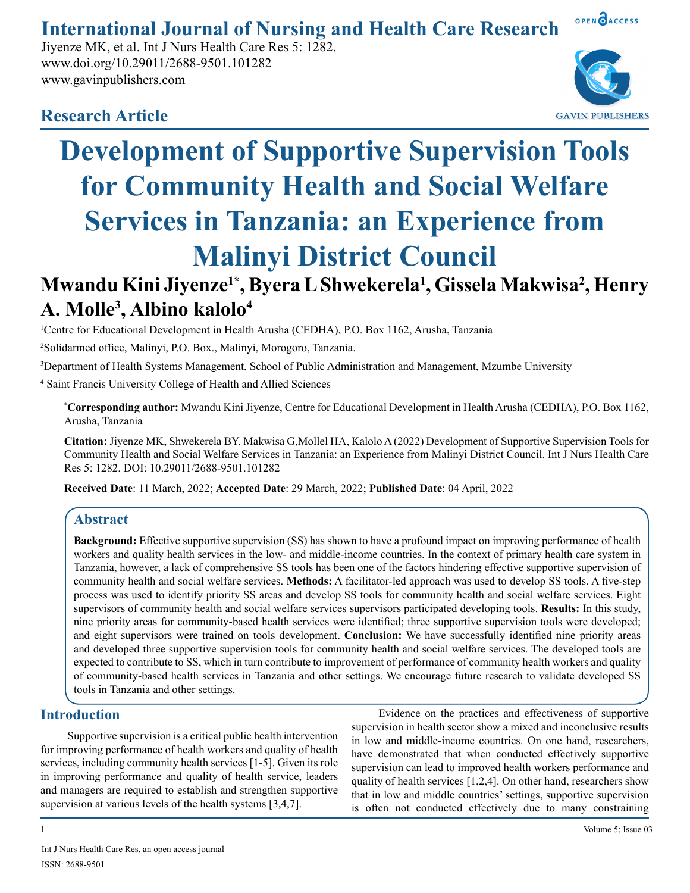# OPEN OACCESS **International Journal of Nursing and Health Care Research**

Jiyenze MK, et al. Int J Nurs Health Care Res 5: 1282. www.doi.org/10.29011/2688-9501.101282 www.gavinpublishers.com



# **Research Article**



# **Development of Supportive Supervision Tools for Community Health and Social Welfare Services in Tanzania: an Experience from Malinyi District Council**

# **Mwandu Kini Jiyenze1\*, Byera L Shwekerela1 , Gissela Makwisa2 , Henry A. Molle3 , Albino kalolo4**

1 Centre for Educational Development in Health Arusha (CEDHA), P.O. Box 1162, Arusha, Tanzania

2 Solidarmed office, Malinyi, P.O. Box., Malinyi, Morogoro, Tanzania.

3 Department of Health Systems Management, School of Public Administration and Management, Mzumbe University

4 Saint Francis University College of Health and Allied Sciences

\* **Corresponding author:** Mwandu Kini Jiyenze, Centre for Educational Development in Health Arusha (CEDHA), P.O. Box 1162, Arusha, Tanzania

**Citation:** Jiyenze MK, Shwekerela BY, Makwisa G,Mollel HA, Kalolo A (2022) Development of Supportive Supervision Tools for Community Health and Social Welfare Services in Tanzania: an Experience from Malinyi District Council. Int J Nurs Health Care Res 5: 1282. DOI: 10.29011/2688-9501.101282

**Received Date**: 11 March, 2022; **Accepted Date**: 29 March, 2022; **Published Date**: 04 April, 2022

# **Abstract**

**Background:** Effective supportive supervision (SS) has shown to have a profound impact on improving performance of health workers and quality health services in the low- and middle-income countries. In the context of primary health care system in Tanzania, however, a lack of comprehensive SS tools has been one of the factors hindering effective supportive supervision of community health and social welfare services. **Methods:** A facilitator-led approach was used to develop SS tools. A five-step process was used to identify priority SS areas and develop SS tools for community health and social welfare services. Eight supervisors of community health and social welfare services supervisors participated developing tools. **Results:** In this study, nine priority areas for community-based health services were identified; three supportive supervision tools were developed; and eight supervisors were trained on tools development. **Conclusion:** We have successfully identified nine priority areas and developed three supportive supervision tools for community health and social welfare services. The developed tools are expected to contribute to SS, which in turn contribute to improvement of performance of community health workers and quality of community-based health services in Tanzania and other settings. We encourage future research to validate developed SS tools in Tanzania and other settings.

# **Introduction**

Supportive supervision is a critical public health intervention for improving performance of health workers and quality of health services, including community health services [1-5]. Given its role in improving performance and quality of health service, leaders and managers are required to establish and strengthen supportive supervision at various levels of the health systems [3,4,7].

Evidence on the practices and effectiveness of supportive supervision in health sector show a mixed and inconclusive results in low and middle-income countries. On one hand, researchers, have demonstrated that when conducted effectively supportive supervision can lead to improved health workers performance and quality of health services [1,2,4]. On other hand, researchers show that in low and middle countries' settings, supportive supervision is often not conducted effectively due to many constraining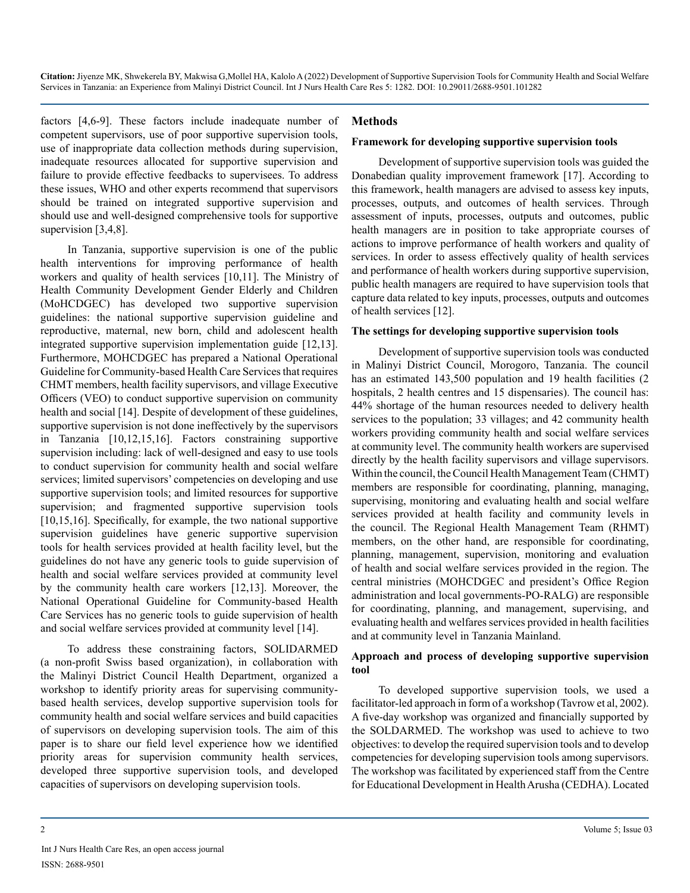factors [4,6-9]. These factors include inadequate number of competent supervisors, use of poor supportive supervision tools, use of inappropriate data collection methods during supervision, inadequate resources allocated for supportive supervision and failure to provide effective feedbacks to supervisees. To address these issues, WHO and other experts recommend that supervisors should be trained on integrated supportive supervision and should use and well-designed comprehensive tools for supportive supervision [3,4,8].

In Tanzania, supportive supervision is one of the public health interventions for improving performance of health workers and quality of health services [10,11]. The Ministry of Health Community Development Gender Elderly and Children (MoHCDGEC) has developed two supportive supervision guidelines: the national supportive supervision guideline and reproductive, maternal, new born, child and adolescent health integrated supportive supervision implementation guide [12,13]. Furthermore, MOHCDGEC has prepared a National Operational Guideline for Community-based Health Care Services that requires CHMT members, health facility supervisors, and village Executive Officers (VEO) to conduct supportive supervision on community health and social [14]. Despite of development of these guidelines, supportive supervision is not done ineffectively by the supervisors in Tanzania [10,12,15,16]. Factors constraining supportive supervision including: lack of well-designed and easy to use tools to conduct supervision for community health and social welfare services; limited supervisors' competencies on developing and use supportive supervision tools; and limited resources for supportive supervision; and fragmented supportive supervision tools [10,15,16]. Specifically, for example, the two national supportive supervision guidelines have generic supportive supervision tools for health services provided at health facility level, but the guidelines do not have any generic tools to guide supervision of health and social welfare services provided at community level by the community health care workers [12,13]. Moreover, the National Operational Guideline for Community-based Health Care Services has no generic tools to guide supervision of health and social welfare services provided at community level [14].

To address these constraining factors, SOLIDARMED (a non-profit Swiss based organization), in collaboration with the Malinyi District Council Health Department, organized a workshop to identify priority areas for supervising communitybased health services, develop supportive supervision tools for community health and social welfare services and build capacities of supervisors on developing supervision tools. The aim of this paper is to share our field level experience how we identified priority areas for supervision community health services, developed three supportive supervision tools, and developed capacities of supervisors on developing supervision tools.

#### **Methods**

#### **Framework for developing supportive supervision tools**

Development of supportive supervision tools was guided the Donabedian quality improvement framework [17]. According to this framework, health managers are advised to assess key inputs, processes, outputs, and outcomes of health services. Through assessment of inputs, processes, outputs and outcomes, public health managers are in position to take appropriate courses of actions to improve performance of health workers and quality of services. In order to assess effectively quality of health services and performance of health workers during supportive supervision, public health managers are required to have supervision tools that capture data related to key inputs, processes, outputs and outcomes of health services [12].

#### **The settings for developing supportive supervision tools**

Development of supportive supervision tools was conducted in Malinyi District Council, Morogoro, Tanzania. The council has an estimated 143,500 population and 19 health facilities (2 hospitals, 2 health centres and 15 dispensaries). The council has: 44% shortage of the human resources needed to delivery health services to the population; 33 villages; and 42 community health workers providing community health and social welfare services at community level. The community health workers are supervised directly by the health facility supervisors and village supervisors. Within the council, the Council Health Management Team (CHMT) members are responsible for coordinating, planning, managing, supervising, monitoring and evaluating health and social welfare services provided at health facility and community levels in the council. The Regional Health Management Team (RHMT) members, on the other hand, are responsible for coordinating, planning, management, supervision, monitoring and evaluation of health and social welfare services provided in the region. The central ministries (MOHCDGEC and president's Office Region administration and local governments-PO-RALG) are responsible for coordinating, planning, and management, supervising, and evaluating health and welfares services provided in health facilities and at community level in Tanzania Mainland.

#### **Approach and process of developing supportive supervision tool**

To developed supportive supervision tools, we used a facilitator-led approach in form of a workshop (Tavrow et al, 2002). A five-day workshop was organized and financially supported by the SOLDARMED. The workshop was used to achieve to two objectives: to develop the required supervision tools and to develop competencies for developing supervision tools among supervisors. The workshop was facilitated by experienced staff from the Centre for Educational Development in Health Arusha (CEDHA). Located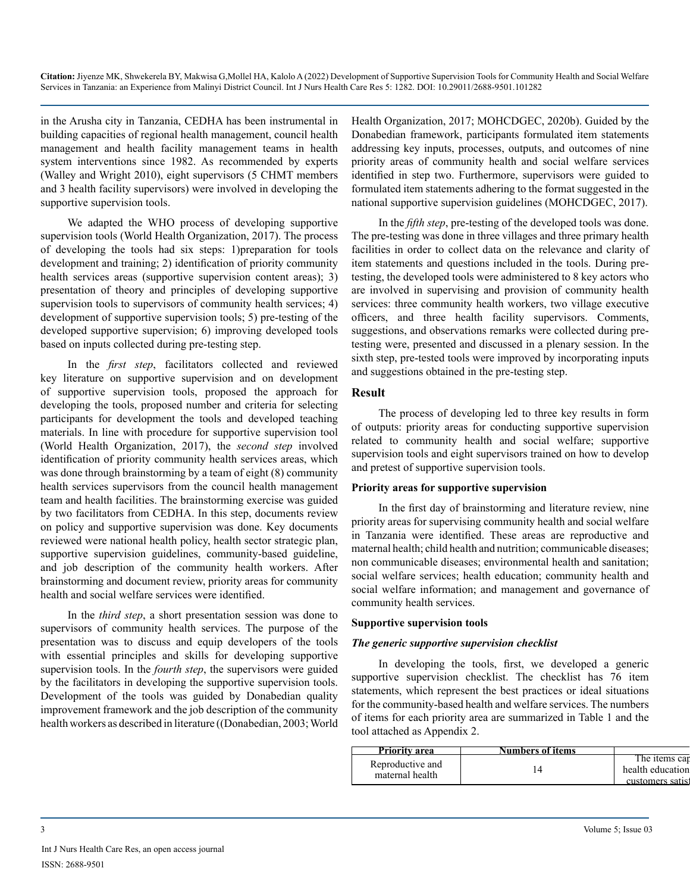in the Arusha city in Tanzania, CEDHA has been instrumental in building capacities of regional health management, council health management and health facility management teams in health system interventions since 1982. As recommended by experts (Walley and Wright 2010), eight supervisors (5 CHMT members and 3 health facility supervisors) were involved in developing the supportive supervision tools.

We adapted the WHO process of developing supportive supervision tools (World Health Organization, 2017). The process of developing the tools had six steps: 1)preparation for tools development and training; 2) identification of priority community health services areas (supportive supervision content areas); 3) presentation of theory and principles of developing supportive supervision tools to supervisors of community health services; 4) development of supportive supervision tools; 5) pre-testing of the developed supportive supervision; 6) improving developed tools based on inputs collected during pre-testing step.

In the *first step*, facilitators collected and reviewed key literature on supportive supervision and on development of supportive supervision tools, proposed the approach for developing the tools, proposed number and criteria for selecting participants for development the tools and developed teaching materials. In line with procedure for supportive supervision tool (World Health Organization, 2017), the *second step* involved identification of priority community health services areas, which was done through brainstorming by a team of eight  $(8)$  community health services supervisors from the council health management team and health facilities. The brainstorming exercise was guided by two facilitators from CEDHA. In this step, documents review on policy and supportive supervision was done. Key documents reviewed were national health policy, health sector strategic plan, supportive supervision guidelines, community-based guideline, and job description of the community health workers. After brainstorming and document review, priority areas for community health and social welfare services were identified.

In the *third step*, a short presentation session was done to supervisors of community health services. The purpose of the presentation was to discuss and equip developers of the tools with essential principles and skills for developing supportive supervision tools. In the *fourth step*, the supervisors were guided by the facilitators in developing the supportive supervision tools. Development of the tools was guided by Donabedian quality improvement framework and the job description of the community health workers as described in literature ((Donabedian, 2003; World

Health Organization, 2017; MOHCDGEC, 2020b). Guided by the Donabedian framework, participants formulated item statements addressing key inputs, processes, outputs, and outcomes of nine priority areas of community health and social welfare services identified in step two. Furthermore, supervisors were guided to formulated item statements adhering to the format suggested in the national supportive supervision guidelines (MOHCDGEC, 2017).

In the *fifth step*, pre-testing of the developed tools was done. The pre-testing was done in three villages and three primary health facilities in order to collect data on the relevance and clarity of item statements and questions included in the tools. During pretesting, the developed tools were administered to 8 key actors who are involved in supervising and provision of community health services: three community health workers, two village executive officers, and three health facility supervisors. Comments, suggestions, and observations remarks were collected during pretesting were, presented and discussed in a plenary session. In the sixth step, pre-tested tools were improved by incorporating inputs and suggestions obtained in the pre-testing step.

#### **Result**

The process of developing led to three key results in form of outputs: priority areas for conducting supportive supervision related to community health and social welfare; supportive supervision tools and eight supervisors trained on how to develop and pretest of supportive supervision tools.

#### **Priority areas for supportive supervision**

In the first day of brainstorming and literature review, nine priority areas for supervising community health and social welfare in Tanzania were identified. These areas are reproductive and maternal health; child health and nutrition; communicable diseases; non communicable diseases; environmental health and sanitation; social welfare services; health education; community health and social welfare information; and management and governance of community health services.

#### **Supportive supervision tools**

#### *The generic supportive supervision checklist*

In developing the tools, first, we developed a generic supportive supervision checklist. The checklist has 76 item statements, which represent the best practices or ideal situations for the community-based health and welfare services. The numbers of items for each priority area are summarized in Table 1 and the tool attached as Appendix 2.

| Priority area                       | s of items<br>Numbers |                                                          |
|-------------------------------------|-----------------------|----------------------------------------------------------|
| Reproductive and<br>maternal health |                       | entems car<br>he<br>health education<br>customers satisf |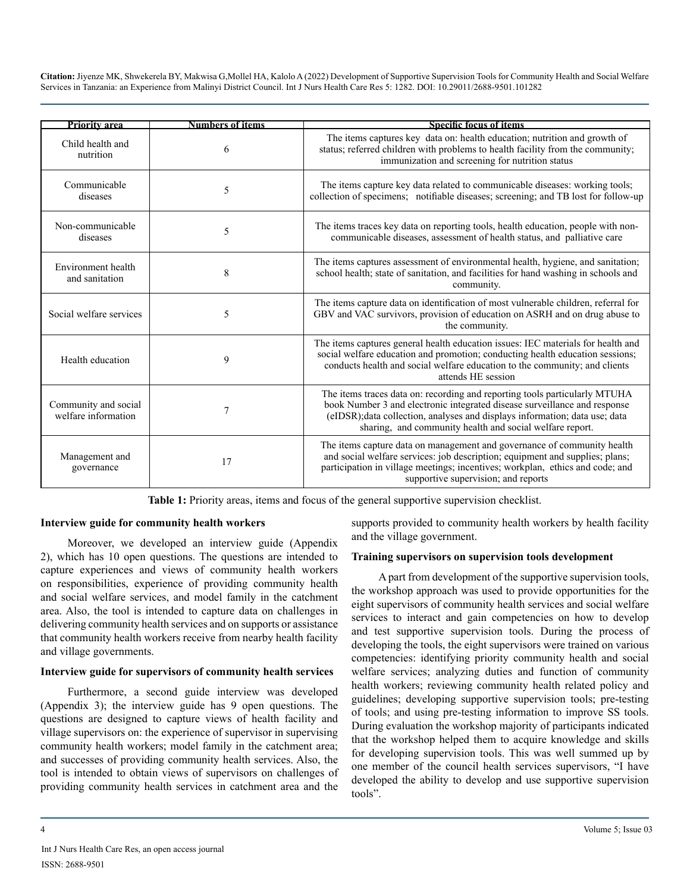| Priority area                               | Numbers of items | <b>Specific focus of items</b>                                                                                                                                                                                                                                                                     |
|---------------------------------------------|------------------|----------------------------------------------------------------------------------------------------------------------------------------------------------------------------------------------------------------------------------------------------------------------------------------------------|
| Child health and<br>nutrition               | 6                | The items captures key data on: health education; nutrition and growth of<br>status; referred children with problems to health facility from the community;<br>immunization and screening for nutrition status                                                                                     |
| Communicable<br>diseases                    | 5                | The items capture key data related to communicable diseases: working tools;<br>collection of specimens; notifiable diseases; screening; and TB lost for follow-up                                                                                                                                  |
| Non-communicable<br>diseases                | 5                | The items traces key data on reporting tools, health education, people with non-<br>communicable diseases, assessment of health status, and palliative care                                                                                                                                        |
| Environment health<br>and sanitation        | 8                | The items captures assessment of environmental health, hygiene, and sanitation;<br>school health; state of sanitation, and facilities for hand washing in schools and<br>community.                                                                                                                |
| Social welfare services                     | 5                | The items capture data on identification of most vulnerable children, referral for<br>GBV and VAC survivors, provision of education on ASRH and on drug abuse to<br>the community.                                                                                                                 |
| Health education                            | 9                | The items captures general health education issues: IEC materials for health and<br>social welfare education and promotion; conducting health education sessions;<br>conducts health and social welfare education to the community; and clients<br>attends HE session                              |
| Community and social<br>welfare information | 7                | The items traces data on: recording and reporting tools particularly MTUHA<br>book Number 3 and electronic integrated disease surveillance and response<br>(eIDSR); data collection, analyses and displays information; data use; data<br>sharing, and community health and social welfare report. |
| Management and<br>governance                | 17               | The items capture data on management and governance of community health<br>and social welfare services: job description; equipment and supplies; plans;<br>participation in village meetings; incentives; workplan, ethics and code; and<br>supportive supervision; and reports                    |

**Table 1:** Priority areas, items and focus of the general supportive supervision checklist.

#### **Interview guide for community health workers**

Moreover, we developed an interview guide (Appendix 2), which has 10 open questions. The questions are intended to capture experiences and views of community health workers on responsibilities, experience of providing community health and social welfare services, and model family in the catchment area. Also, the tool is intended to capture data on challenges in delivering community health services and on supports or assistance that community health workers receive from nearby health facility and village governments.

#### **Interview guide for supervisors of community health services**

Furthermore, a second guide interview was developed (Appendix 3); the interview guide has 9 open questions. The questions are designed to capture views of health facility and village supervisors on: the experience of supervisor in supervising community health workers; model family in the catchment area; and successes of providing community health services. Also, the tool is intended to obtain views of supervisors on challenges of providing community health services in catchment area and the

supports provided to community health workers by health facility and the village government.

#### **Training supervisors on supervision tools development**

A part from development of the supportive supervision tools, the workshop approach was used to provide opportunities for the eight supervisors of community health services and social welfare services to interact and gain competencies on how to develop and test supportive supervision tools. During the process of developing the tools, the eight supervisors were trained on various competencies: identifying priority community health and social welfare services; analyzing duties and function of community health workers; reviewing community health related policy and guidelines; developing supportive supervision tools; pre-testing of tools; and using pre-testing information to improve SS tools. During evaluation the workshop majority of participants indicated that the workshop helped them to acquire knowledge and skills for developing supervision tools. This was well summed up by one member of the council health services supervisors, "I have developed the ability to develop and use supportive supervision tools".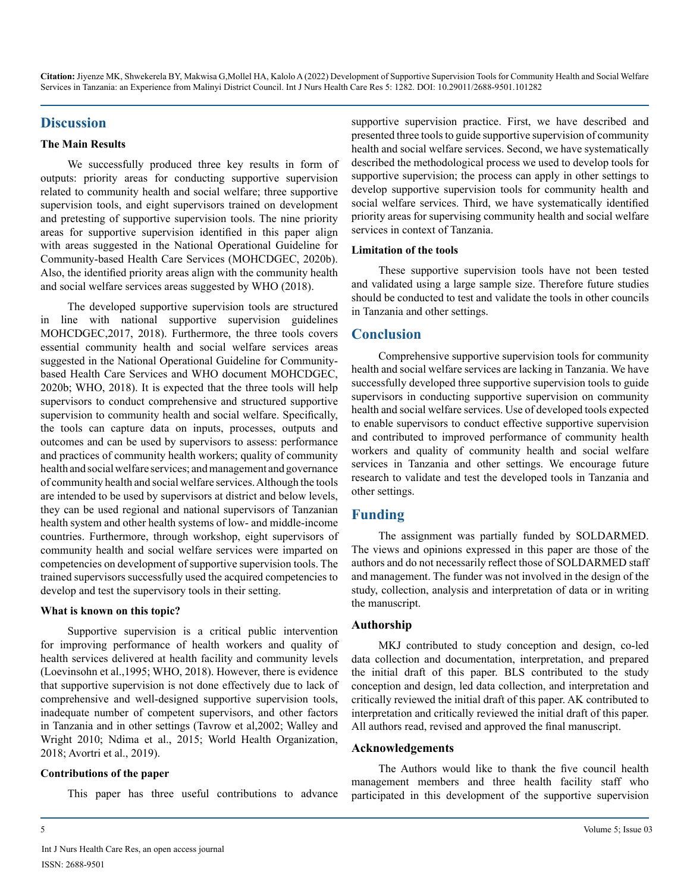## **Discussion**

#### **The Main Results**

We successfully produced three key results in form of outputs: priority areas for conducting supportive supervision related to community health and social welfare; three supportive supervision tools, and eight supervisors trained on development and pretesting of supportive supervision tools. The nine priority areas for supportive supervision identified in this paper align with areas suggested in the National Operational Guideline for Community-based Health Care Services (MOHCDGEC, 2020b). Also, the identified priority areas align with the community health and social welfare services areas suggested by WHO (2018).

The developed supportive supervision tools are structured in line with national supportive supervision guidelines MOHCDGEC,2017, 2018). Furthermore, the three tools covers essential community health and social welfare services areas suggested in the National Operational Guideline for Communitybased Health Care Services and WHO document MOHCDGEC, 2020b; WHO, 2018). It is expected that the three tools will help supervisors to conduct comprehensive and structured supportive supervision to community health and social welfare. Specifically, the tools can capture data on inputs, processes, outputs and outcomes and can be used by supervisors to assess: performance and practices of community health workers; quality of community health and social welfare services; and management and governance of community health and social welfare services. Although the tools are intended to be used by supervisors at district and below levels, they can be used regional and national supervisors of Tanzanian health system and other health systems of low- and middle-income countries. Furthermore, through workshop, eight supervisors of community health and social welfare services were imparted on competencies on development of supportive supervision tools. The trained supervisors successfully used the acquired competencies to develop and test the supervisory tools in their setting.

#### **What is known on this topic?**

Supportive supervision is a critical public intervention for improving performance of health workers and quality of health services delivered at health facility and community levels (Loevinsohn et al.,1995; WHO, 2018). However, there is evidence that supportive supervision is not done effectively due to lack of comprehensive and well-designed supportive supervision tools, inadequate number of competent supervisors, and other factors in Tanzania and in other settings (Tavrow et al,2002; Walley and Wright 2010; Ndima et al., 2015; World Health Organization, 2018; Avortri et al., 2019).

#### **Contributions of the paper**

This paper has three useful contributions to advance

supportive supervision practice. First, we have described and presented three tools to guide supportive supervision of community health and social welfare services. Second, we have systematically described the methodological process we used to develop tools for supportive supervision; the process can apply in other settings to develop supportive supervision tools for community health and social welfare services. Third, we have systematically identified priority areas for supervising community health and social welfare services in context of Tanzania.

#### **Limitation of the tools**

These supportive supervision tools have not been tested and validated using a large sample size. Therefore future studies should be conducted to test and validate the tools in other councils in Tanzania and other settings.

# **Conclusion**

Comprehensive supportive supervision tools for community health and social welfare services are lacking in Tanzania. We have successfully developed three supportive supervision tools to guide supervisors in conducting supportive supervision on community health and social welfare services. Use of developed tools expected to enable supervisors to conduct effective supportive supervision and contributed to improved performance of community health workers and quality of community health and social welfare services in Tanzania and other settings. We encourage future research to validate and test the developed tools in Tanzania and other settings.

# **Funding**

The assignment was partially funded by SOLDARMED. The views and opinions expressed in this paper are those of the authors and do not necessarily reflect those of SOLDARMED staff and management. The funder was not involved in the design of the study, collection, analysis and interpretation of data or in writing the manuscript.

#### **Authorship**

MKJ contributed to study conception and design, co-led data collection and documentation, interpretation, and prepared the initial draft of this paper. BLS contributed to the study conception and design, led data collection, and interpretation and critically reviewed the initial draft of this paper. AK contributed to interpretation and critically reviewed the initial draft of this paper. All authors read, revised and approved the final manuscript.

#### **Acknowledgements**

The Authors would like to thank the five council health management members and three health facility staff who participated in this development of the supportive supervision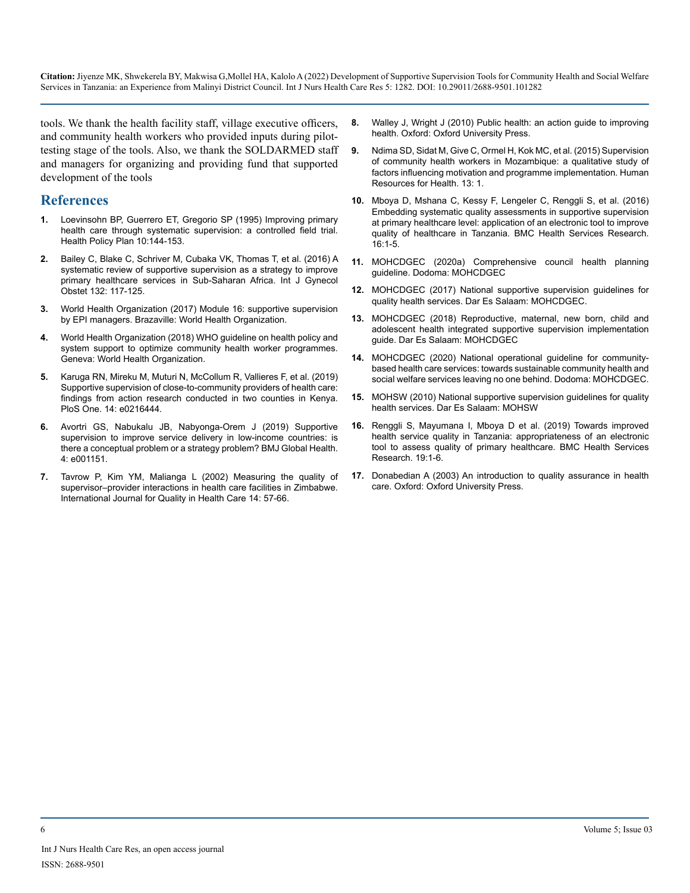tools. We thank the health facility staff, village executive officers, and community health workers who provided inputs during pilottesting stage of the tools. Also, we thank the SOLDARMED staff and managers for organizing and providing fund that supported development of the tools

# **References**

- **1.** [Loevinsohn BP, Guerrero ET, Gregorio SP \(1995\) Improving primary](https://pubmed.ncbi.nlm.nih.gov/10143452/)  [health care through systematic supervision: a controlled field trial.](https://pubmed.ncbi.nlm.nih.gov/10143452/)  [Health Policy Plan 10:144-153.](https://pubmed.ncbi.nlm.nih.gov/10143452/)
- **2.** [Bailey C, Blake C, Schriver M, Cubaka VK, Thomas T, et al. \(2016\) A](https://pubmed.ncbi.nlm.nih.gov/26653397/)  [systematic review of supportive supervision as a strategy to improve](https://pubmed.ncbi.nlm.nih.gov/26653397/)  [primary healthcare services in Sub-Saharan Africa. Int J Gynecol](https://pubmed.ncbi.nlm.nih.gov/26653397/)  [Obstet 132: 117-125.](https://pubmed.ncbi.nlm.nih.gov/26653397/)
- **3.** World Health Organization (2017) Module 16: supportive supervision by EPI managers. Brazaville: World Health Organization.
- **4.** [World Health Organization \(2018\) WHO guideline on health policy and](https://www.who.int/publications/i/item/9789241550369)  [system support to optimize community health worker programmes.](https://www.who.int/publications/i/item/9789241550369)  [Geneva: World Health Organization.](https://www.who.int/publications/i/item/9789241550369)
- **5.** [Karuga RN, Mireku M, Muturi N, McCollum R, Vallieres F, et al. \(2019\)](https://pubmed.ncbi.nlm.nih.gov/31141509/)  [Supportive supervision of close-to-community providers of health care:](https://pubmed.ncbi.nlm.nih.gov/31141509/)  [findings from action research conducted in two counties in Kenya.](https://pubmed.ncbi.nlm.nih.gov/31141509/)  [PloS One. 14: e0216444.](https://pubmed.ncbi.nlm.nih.gov/31141509/)
- **6.** [Avortri GS, Nabukalu JB, Nabyonga-Orem J \(2019\) Supportive](https://gh.bmj.com/content/4/Suppl_9/e001151)  [supervision to improve service delivery in low-income countries: is](https://gh.bmj.com/content/4/Suppl_9/e001151)  [there a conceptual problem or a strategy problem? BMJ Global Health.](https://gh.bmj.com/content/4/Suppl_9/e001151)  [4: e001151.](https://gh.bmj.com/content/4/Suppl_9/e001151)
- **7.** [Tavrow P, Kim YM, Malianga L \(2002\) Measuring the quality of](https://academic.oup.com/intqhc/article/14/suppl_1/57/1814861)  [supervisor–provider interactions in health care facilities in Zimbabwe.](https://academic.oup.com/intqhc/article/14/suppl_1/57/1814861)  [International Journal for Quality in Health Care 14: 57-66.](https://academic.oup.com/intqhc/article/14/suppl_1/57/1814861)
- **8.** [Walley J, Wright J \(2010\) Public health: an action guide to improving](https://www.worldcat.org/title/public-health-an-action-guide-to-improving-health/oclc/763181138)  [health. Oxford: Oxford University Press.](https://www.worldcat.org/title/public-health-an-action-guide-to-improving-health/oclc/763181138)
- **9.** [Ndima SD, Sidat M, Give C, Ormel H, Kok MC, et al. \(2015\) Supervision](https://human-resources-health.biomedcentral.com/articles/10.1186/s12960-015-0063-x)  [of community health workers in Mozambique: a qualitative study of](https://human-resources-health.biomedcentral.com/articles/10.1186/s12960-015-0063-x)  [factors influencing motivation and programme implementation. Human](https://human-resources-health.biomedcentral.com/articles/10.1186/s12960-015-0063-x)  [Resources for Health. 13: 1.](https://human-resources-health.biomedcentral.com/articles/10.1186/s12960-015-0063-x)
- **10.** [Mboya D, Mshana C, Kessy F, Lengeler C, Renggli S, et al. \(2016\)](https://bmchealthservres.biomedcentral.com/articles/10.1186/s12913-016-1809-4)  [Embedding systematic quality assessments in supportive supervision](https://bmchealthservres.biomedcentral.com/articles/10.1186/s12913-016-1809-4)  [at primary healthcare level: application of an electronic tool to improve](https://bmchealthservres.biomedcentral.com/articles/10.1186/s12913-016-1809-4)  [quality of healthcare in Tanzania. BMC Health Services Research.](https://bmchealthservres.biomedcentral.com/articles/10.1186/s12913-016-1809-4)  [16:1-5.](https://bmchealthservres.biomedcentral.com/articles/10.1186/s12913-016-1809-4)
- **11.** MOHCDGEC (2020a) Comprehensive council health planning guideline. Dodoma: MOHCDGEC
- **12.** MOHCDGEC (2017) National supportive supervision guidelines for quality health services. Dar Es Salaam: MOHCDGEC.
- **13.** MOHCDGEC (2018) Reproductive, maternal, new born, child and adolescent health integrated supportive supervision implementation guide. Dar Es Salaam: MOHCDGEC
- **14.** MOHCDGEC (2020) National operational guideline for communitybased health care services: towards sustainable community health and social welfare services leaving no one behind. Dodoma: MOHCDGEC.
- **15.** MOHSW (2010) National supportive supervision guidelines for quality health services. Dar Es Salaam: MOHSW
- **16.** [Renggli S, Mayumana I, Mboya D et al. \(2019\) Towards improved](https://bmchealthservres.biomedcentral.com/articles/10.1186/s12913-019-3908-5)  [health service quality in Tanzania: appropriateness of an electronic](https://bmchealthservres.biomedcentral.com/articles/10.1186/s12913-019-3908-5)  [tool to assess quality of primary healthcare. BMC Health Services](https://bmchealthservres.biomedcentral.com/articles/10.1186/s12913-019-3908-5)  [Research. 19:1-6.](https://bmchealthservres.biomedcentral.com/articles/10.1186/s12913-019-3908-5)
- **17.** [Donabedian A \(2003\) An introduction to quality assurance in health](https://global.oup.com/academic/product/an-introduction-to-quality-assurance-in-health-care-9780195158090?cc=in&lang=en&)  [care. Oxford: Oxford University Press.](https://global.oup.com/academic/product/an-introduction-to-quality-assurance-in-health-care-9780195158090?cc=in&lang=en&)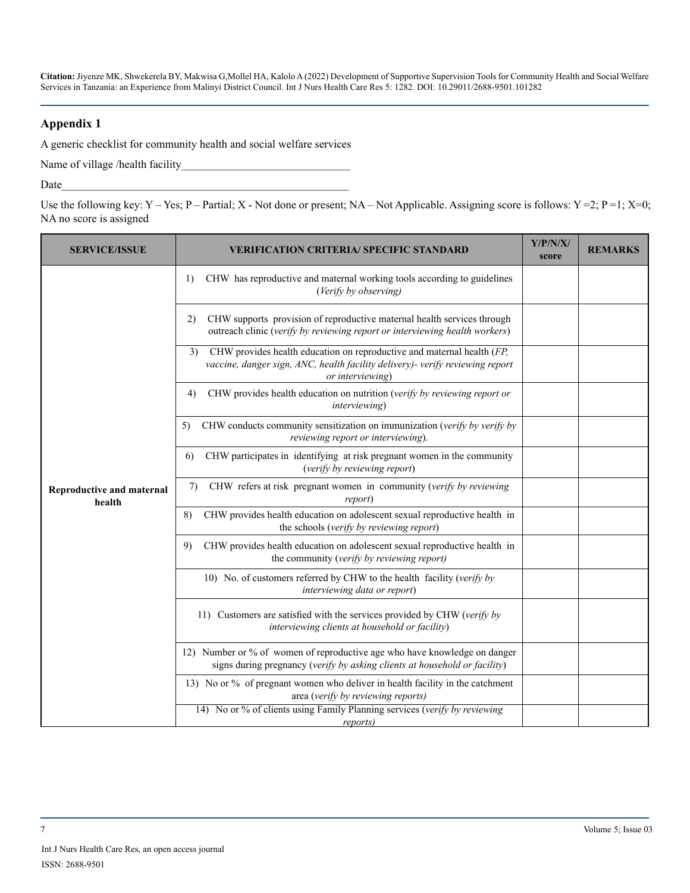#### **Appendix 1**

A generic checklist for community health and social welfare services

Name of village /health facility\_\_\_\_\_\_\_\_\_\_\_\_\_\_\_\_\_\_\_\_\_\_\_\_\_\_\_\_\_\_

Date  $\Box$ 

Use the following key: Y – Yes; P – Partial; X - Not done or present; NA – Not Applicable. Assigning score is follows: Y = 2; P = 1; X=0; NA no score is assigned

| <b>SERVICE/ISSUE</b>                       | <b>VERIFICATION CRITERIA/ SPECIFIC STANDARD</b>                                                                                                                                   | Y/P/N/X/<br>score | <b>REMARKS</b> |
|--------------------------------------------|-----------------------------------------------------------------------------------------------------------------------------------------------------------------------------------|-------------------|----------------|
|                                            | 1)<br>CHW has reproductive and maternal working tools according to guidelines<br>(Verify by observing)                                                                            |                   |                |
|                                            | CHW supports provision of reproductive maternal health services through<br>2)<br>outreach clinic (verify by reviewing report or interviewing health workers)                      |                   |                |
|                                            | CHW provides health education on reproductive and maternal health (FP,<br>3)<br>vaccine, danger sign, ANC, health facility delivery)- verify reviewing report<br>or interviewing) |                   |                |
|                                            | CHW provides health education on nutrition (verify by reviewing report or<br>4)<br>interviewing)                                                                                  |                   |                |
| <b>Reproductive and maternal</b><br>health | CHW conducts community sensitization on immunization (verify by verify by<br>5)<br>reviewing report or interviewing).                                                             |                   |                |
|                                            | CHW participates in identifying at risk pregnant women in the community<br>6)<br>(verify by reviewing report)                                                                     |                   |                |
|                                            | CHW refers at risk pregnant women in community (verify by reviewing<br>7)<br>report)                                                                                              |                   |                |
|                                            | CHW provides health education on adolescent sexual reproductive health in<br>8)<br>the schools (verify by reviewing report)                                                       |                   |                |
|                                            | CHW provides health education on adolescent sexual reproductive health in<br>9)<br>the community (verify by reviewing report)                                                     |                   |                |
|                                            | 10) No. of customers referred by CHW to the health facility (verify by<br>interviewing data or report)                                                                            |                   |                |
|                                            | 11) Customers are satisfied with the services provided by CHW (verify by<br>interviewing clients at household or facility)                                                        |                   |                |
|                                            | 12) Number or % of women of reproductive age who have knowledge on danger<br>signs during pregnancy (verify by asking clients at household or facility)                           |                   |                |
|                                            | 13) No or % of pregnant women who deliver in health facility in the catchment<br>area (verify by reviewing reports)                                                               |                   |                |
|                                            | 14) No or % of clients using Family Planning services (verify by reviewing<br>reports)                                                                                            |                   |                |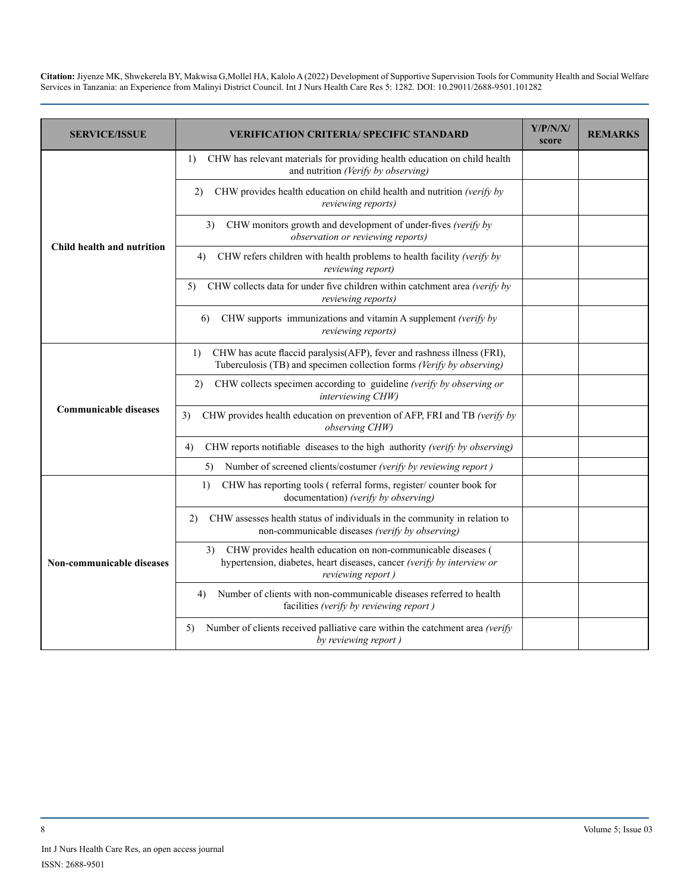| <b>SERVICE/ISSUE</b>             | <b>VERIFICATION CRITERIA/ SPECIFIC STANDARD</b>                                                                                                                   | Y/P/N/X/<br>score | <b>REMARKS</b> |
|----------------------------------|-------------------------------------------------------------------------------------------------------------------------------------------------------------------|-------------------|----------------|
| Child health and nutrition       | CHW has relevant materials for providing health education on child health<br>1)<br>and nutrition (Verify by observing)                                            |                   |                |
|                                  | CHW provides health education on child health and nutrition (verify by<br>2)<br>reviewing reports)                                                                |                   |                |
|                                  | CHW monitors growth and development of under-fives (verify by<br>3)<br>observation or reviewing reports)                                                          |                   |                |
|                                  | CHW refers children with health problems to health facility (verify by<br>4)<br>reviewing report)                                                                 |                   |                |
|                                  | CHW collects data for under five children within catchment area (verify by<br>5)<br><i>reviewing reports</i> )                                                    |                   |                |
|                                  | CHW supports immunizations and vitamin A supplement (verify by<br>6<br><i>reviewing reports</i> )                                                                 |                   |                |
|                                  | CHW has acute flaccid paralysis(AFP), fever and rashness illness (FRI),<br>1)<br>Tuberculosis (TB) and specimen collection forms (Verify by observing)            |                   |                |
|                                  | CHW collects specimen according to guideline (verify by observing or<br>2)<br>interviewing CHW)                                                                   |                   |                |
| <b>Communicable diseases</b>     | 3)<br>CHW provides health education on prevention of AFP, FRI and TB (verify by<br>observing CHW)                                                                 |                   |                |
|                                  | CHW reports notifiable diseases to the high authority (verify by observing)<br>4)                                                                                 |                   |                |
|                                  | Number of screened clients/costumer (verify by reviewing report)<br>5)                                                                                            |                   |                |
| <b>Non-communicable diseases</b> | CHW has reporting tools (referral forms, register/counter book for<br>1)<br>documentation) (verify by observing)                                                  |                   |                |
|                                  | CHW assesses health status of individuals in the community in relation to<br>2)<br>non-communicable diseases (verify by observing)                                |                   |                |
|                                  | CHW provides health education on non-communicable diseases (<br>3)<br>hypertension, diabetes, heart diseases, cancer (verify by interview or<br>reviewing report) |                   |                |
|                                  | Number of clients with non-communicable diseases referred to health<br>4)<br>facilities (verify by reviewing report)                                              |                   |                |
|                                  | Number of clients received palliative care within the catchment area (verify<br>5)<br>by reviewing report)                                                        |                   |                |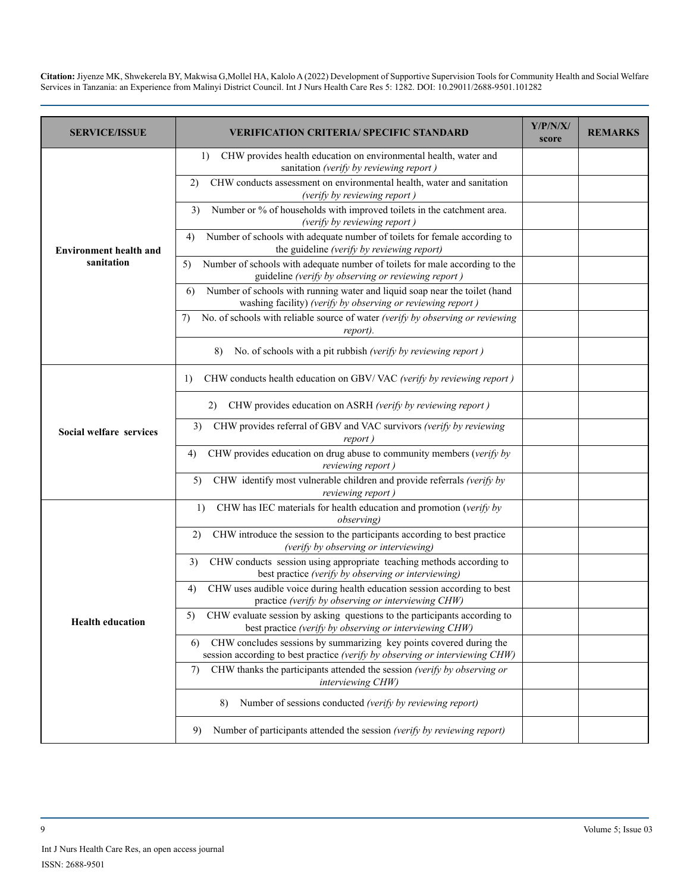| <b>SERVICE/ISSUE</b>          | VERIFICATION CRITERIA/ SPECIFIC STANDARD                                                                                                                  | Y/P/N/X/<br>score | <b>REMARKS</b> |
|-------------------------------|-----------------------------------------------------------------------------------------------------------------------------------------------------------|-------------------|----------------|
|                               | CHW provides health education on environmental health, water and<br>1)<br>sanitation (verify by reviewing report)                                         |                   |                |
|                               | CHW conducts assessment on environmental health, water and sanitation<br>2)<br>(verify by reviewing report)                                               |                   |                |
|                               | Number or % of households with improved toilets in the catchment area.<br>3)<br>(verify by reviewing report)                                              |                   |                |
| <b>Environment health and</b> | Number of schools with adequate number of toilets for female according to<br>4)<br>the guideline (verify by reviewing report)                             |                   |                |
| sanitation                    | Number of schools with adequate number of toilets for male according to the<br>5)<br>guideline (verify by observing or reviewing report)                  |                   |                |
|                               | Number of schools with running water and liquid soap near the toilet (hand<br>6<br>washing facility) (verify by observing or reviewing report)            |                   |                |
|                               | No. of schools with reliable source of water (verify by observing or reviewing<br>7)<br>report).                                                          |                   |                |
|                               | No. of schools with a pit rubbish (verify by reviewing report)<br>8)                                                                                      |                   |                |
|                               | CHW conducts health education on GBV/VAC (verify by reviewing report)<br>1)                                                                               |                   |                |
|                               | CHW provides education on ASRH (verify by reviewing report)<br>2)                                                                                         |                   |                |
| Social welfare services       | 3)<br>CHW provides referral of GBV and VAC survivors (verify by reviewing<br>report)                                                                      |                   |                |
|                               | CHW provides education on drug abuse to community members (verify by<br>4)<br>reviewing report)                                                           |                   |                |
|                               | CHW identify most vulnerable children and provide referrals (verify by<br>5)<br>reviewing report)                                                         |                   |                |
|                               | CHW has IEC materials for health education and promotion (verify by<br>1)<br><i>observing</i> )                                                           |                   |                |
|                               | CHW introduce the session to the participants according to best practice<br>2)<br>(verify by observing or interviewing)                                   |                   |                |
|                               | CHW conducts session using appropriate teaching methods according to<br>3)<br>best practice (verify by observing or interviewing)                         |                   |                |
|                               | CHW uses audible voice during health education session according to best<br>4)<br>practice (verify by observing or interviewing CHW)                      |                   |                |
| <b>Health education</b>       | CHW evaluate session by asking questions to the participants according to<br>5)<br>best practice (verify by observing or interviewing CHW)                |                   |                |
|                               | CHW concludes sessions by summarizing key points covered during the<br>6)<br>session according to best practice (verify by observing or interviewing CHW) |                   |                |
|                               | CHW thanks the participants attended the session (verify by observing or<br>7)<br>interviewing CHW)                                                       |                   |                |
|                               | Number of sessions conducted (verify by reviewing report)<br>8)                                                                                           |                   |                |
|                               | Number of participants attended the session (verify by reviewing report)<br>9)                                                                            |                   |                |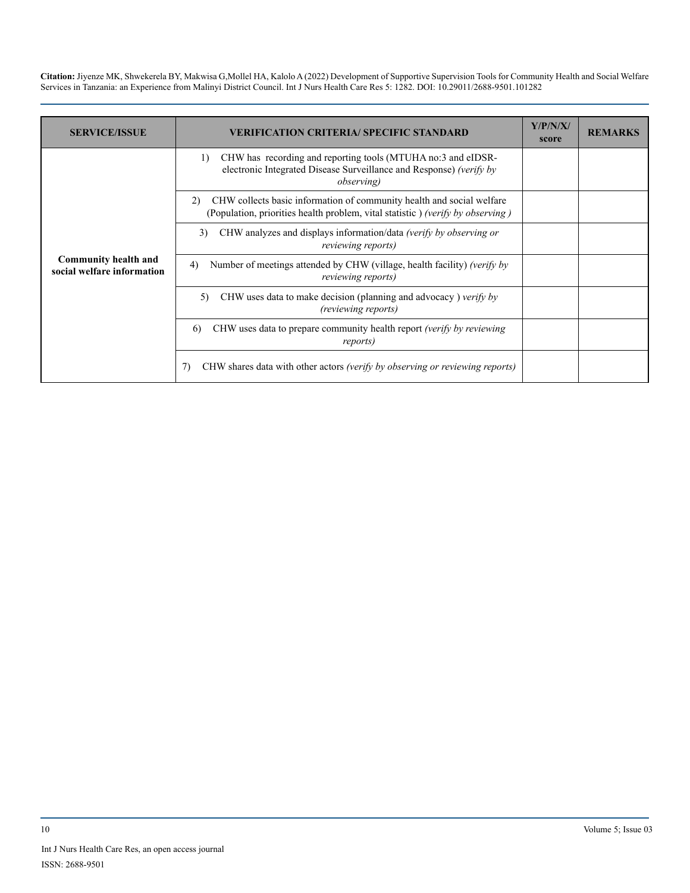| <b>SERVICE/ISSUE</b>                                      | <b>VERIFICATION CRITERIA/ SPECIFIC STANDARD</b>                                                                                                                 | Y/P/N/X/<br>score | <b>REMARKS</b> |
|-----------------------------------------------------------|-----------------------------------------------------------------------------------------------------------------------------------------------------------------|-------------------|----------------|
| <b>Community health and</b><br>social welfare information | CHW has recording and reporting tools (MTUHA no:3 and eIDSR-<br>1)<br>electronic Integrated Disease Surveillance and Response) (verify by<br><i>observing</i> ) |                   |                |
|                                                           | CHW collects basic information of community health and social welfare<br>(2)<br>(Population, priorities health problem, vital statistic) (verify by observing)  |                   |                |
|                                                           | CHW analyzes and displays information/data (verify by observing or<br>3)<br><i>reviewing reports</i> )                                                          |                   |                |
|                                                           | Number of meetings attended by CHW (village, health facility) (verify by<br>4)<br><i>reviewing reports</i> )                                                    |                   |                |
|                                                           | CHW uses data to make decision (planning and advocacy) verify by<br>5)<br><i>(reviewing reports)</i>                                                            |                   |                |
|                                                           | CHW uses data to prepare community health report <i>(verify by reviewing</i> )<br>6<br>reports)                                                                 |                   |                |
|                                                           | CHW shares data with other actors (verify by observing or reviewing reports)                                                                                    |                   |                |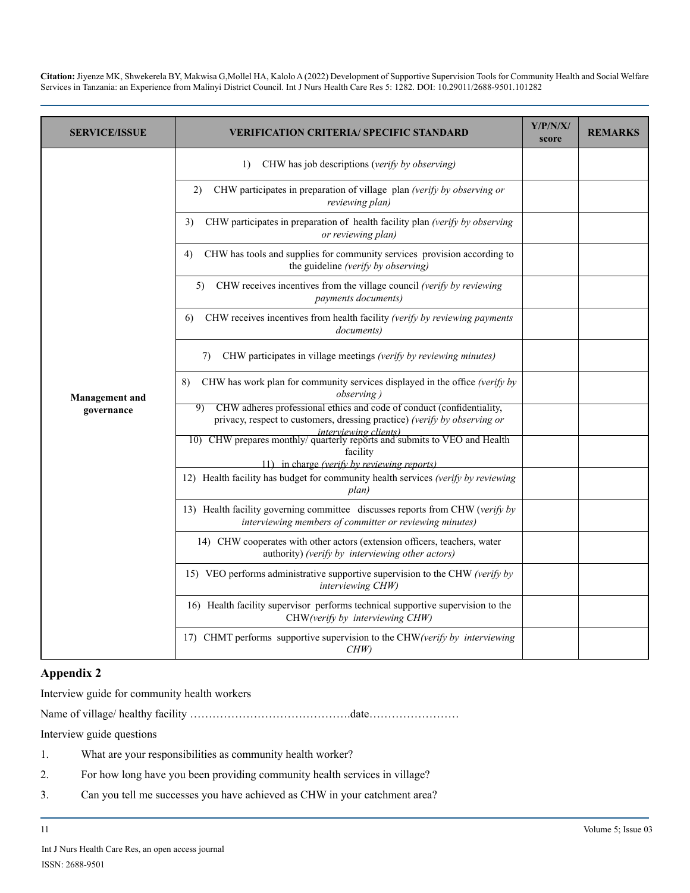| <b>SERVICE/ISSUE</b>  | VERIFICATION CRITERIA/ SPECIFIC STANDARD                                                                                                                             | Y/P/N/X/<br>score | <b>REMARKS</b> |
|-----------------------|----------------------------------------------------------------------------------------------------------------------------------------------------------------------|-------------------|----------------|
|                       | CHW has job descriptions (verify by observing)<br>1)                                                                                                                 |                   |                |
|                       | CHW participates in preparation of village plan (verify by observing or<br>2)<br>reviewing plan)                                                                     |                   |                |
|                       | CHW participates in preparation of health facility plan (verify by observing<br>3)<br>or reviewing plan)                                                             |                   |                |
|                       | CHW has tools and supplies for community services provision according to<br>4)<br>the guideline (verify by observing)                                                |                   |                |
|                       | CHW receives incentives from the village council (verify by reviewing<br>5)<br>payments documents)                                                                   |                   |                |
|                       | CHW receives incentives from health facility (verify by reviewing payments<br>6)<br><i>documents</i> )                                                               |                   |                |
|                       | CHW participates in village meetings (verify by reviewing minutes)<br>7)                                                                                             |                   |                |
| <b>Management</b> and | CHW has work plan for community services displayed in the office (verify by<br>8)<br>observing)                                                                      |                   |                |
| governance            | CHW adheres professional ethics and code of conduct (confidentiality,<br>9)<br>privacy, respect to customers, dressing practice) (verify by observing or             |                   |                |
|                       | <i>interviewing clients)</i><br>10) CHW prepares monthly/ quarterly reports and submits to VEO and Health<br>facility<br>11) in charge (verify by reviewing reports) |                   |                |
|                       | 12) Health facility has budget for community health services (verify by reviewing<br>plan)                                                                           |                   |                |
|                       | 13) Health facility governing committee discusses reports from CHW (verify by<br>interviewing members of committer or reviewing minutes)                             |                   |                |
|                       | 14) CHW cooperates with other actors (extension officers, teachers, water<br>authority) (verify by interviewing other actors)                                        |                   |                |
|                       | 15) VEO performs administrative supportive supervision to the CHW (verify by<br>interviewing CHW)                                                                    |                   |                |
|                       | 16) Health facility supervisor performs technical supportive supervision to the<br>CHW(verify by interviewing CHW)                                                   |                   |                |
|                       | 17) CHMT performs supportive supervision to the CHW (verify by interviewing<br>CHW)                                                                                  |                   |                |

### **Appendix 2**

Interview guide for community health workers

Name of village/ healthy facility …………………………………….date……………………

Interview guide questions

- 1. What are your responsibilities as community health worker?
- 2. For how long have you been providing community health services in village?
- 3. Can you tell me successes you have achieved as CHW in your catchment area?